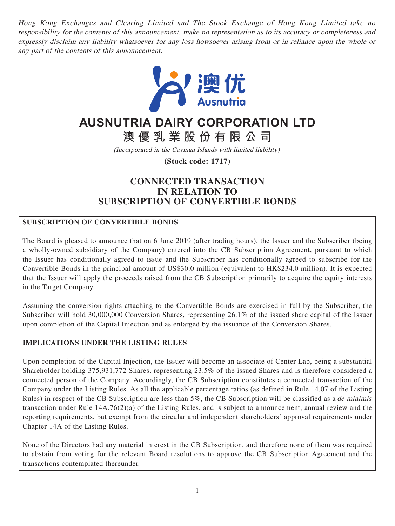Hong Kong Exchanges and Clearing Limited and The Stock Exchange of Hong Kong Limited take no responsibility for the contents of this announcement, make no representation as to its accuracy or completeness and expressly disclaim any liability whatsoever for any loss howsoever arising from or in reliance upon the whole or any part of the contents of this announcement.



# **AUSNUTRIA DAIRY CORPORATION LTD**

**澳優乳業股份有限公司**

(Incorporated in the Cayman Islands with limited liability)

**(Stock code: 1717)**

## **CONNECTED TRANSACTION IN RELATION TO SUBSCRIPTION OF CONVERTIBLE BONDS**

## **SUBSCRIPTION OF CONVERTIBLE BONDS**

The Board is pleased to announce that on 6 June 2019 (after trading hours), the Issuer and the Subscriber (being a wholly-owned subsidiary of the Company) entered into the CB Subscription Agreement, pursuant to which the Issuer has conditionally agreed to issue and the Subscriber has conditionally agreed to subscribe for the Convertible Bonds in the principal amount of US\$30.0 million (equivalent to HK\$234.0 million). It is expected that the Issuer will apply the proceeds raised from the CB Subscription primarily to acquire the equity interests in the Target Company.

Assuming the conversion rights attaching to the Convertible Bonds are exercised in full by the Subscriber, the Subscriber will hold 30,000,000 Conversion Shares, representing 26.1% of the issued share capital of the Issuer upon completion of the Capital Injection and as enlarged by the issuance of the Conversion Shares.

## **IMPLICATIONS UNDER THE LISTING RULES**

Upon completion of the Capital Injection, the Issuer will become an associate of Center Lab, being a substantial Shareholder holding 375,931,772 Shares, representing 23.5% of the issued Shares and is therefore considered a connected person of the Company. Accordingly, the CB Subscription constitutes a connected transaction of the Company under the Listing Rules. As all the applicable percentage ratios (as defined in Rule 14.07 of the Listing Rules) in respect of the CB Subscription are less than 5%, the CB Subscription will be classified as a de minimis transaction under Rule 14A.76(2)(a) of the Listing Rules, and is subject to announcement, annual review and the reporting requirements, but exempt from the circular and independent shareholders' approval requirements under Chapter 14A of the Listing Rules.

None of the Directors had any material interest in the CB Subscription, and therefore none of them was required to abstain from voting for the relevant Board resolutions to approve the CB Subscription Agreement and the transactions contemplated thereunder.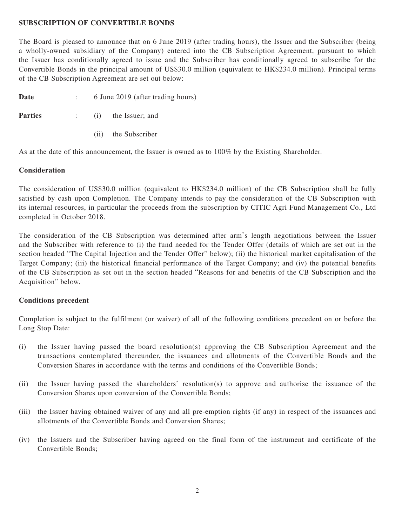#### **SUBSCRIPTION OF CONVERTIBLE BONDS**

The Board is pleased to announce that on 6 June 2019 (after trading hours), the Issuer and the Subscriber (being a wholly-owned subsidiary of the Company) entered into the CB Subscription Agreement, pursuant to which the Issuer has conditionally agreed to issue and the Subscriber has conditionally agreed to subscribe for the Convertible Bonds in the principal amount of US\$30.0 million (equivalent to HK\$234.0 million). Principal terms of the CB Subscription Agreement are set out below:

| Date | 6 June 2019 (after trading hours) |
|------|-----------------------------------|
|      |                                   |

- **Parties** : (i) the Issuer; and
	- (ii) the Subscriber

As at the date of this announcement, the Issuer is owned as to 100% by the Existing Shareholder.

## **Consideration**

The consideration of US\$30.0 million (equivalent to HK\$234.0 million) of the CB Subscription shall be fully satisfied by cash upon Completion. The Company intends to pay the consideration of the CB Subscription with its internal resources, in particular the proceeds from the subscription by CITIC Agri Fund Management Co., Ltd completed in October 2018.

The consideration of the CB Subscription was determined after arm's length negotiations between the Issuer and the Subscriber with reference to (i) the fund needed for the Tender Offer (details of which are set out in the section headed "The Capital Injection and the Tender Offer" below); (ii) the historical market capitalisation of the Target Company; (iii) the historical financial performance of the Target Company; and (iv) the potential benefits of the CB Subscription as set out in the section headed "Reasons for and benefits of the CB Subscription and the Acquisition" below.

#### **Conditions precedent**

Completion is subject to the fulfilment (or waiver) of all of the following conditions precedent on or before the Long Stop Date:

- (i) the Issuer having passed the board resolution(s) approving the CB Subscription Agreement and the transactions contemplated thereunder, the issuances and allotments of the Convertible Bonds and the Conversion Shares in accordance with the terms and conditions of the Convertible Bonds;
- (ii) the Issuer having passed the shareholders' resolution(s) to approve and authorise the issuance of the Conversion Shares upon conversion of the Convertible Bonds;
- (iii) the Issuer having obtained waiver of any and all pre-emption rights (if any) in respect of the issuances and allotments of the Convertible Bonds and Conversion Shares;
- (iv) the Issuers and the Subscriber having agreed on the final form of the instrument and certificate of the Convertible Bonds;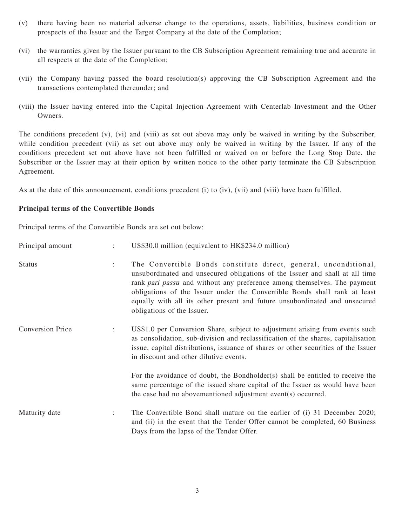- (v) there having been no material adverse change to the operations, assets, liabilities, business condition or prospects of the Issuer and the Target Company at the date of the Completion;
- (vi) the warranties given by the Issuer pursuant to the CB Subscription Agreement remaining true and accurate in all respects at the date of the Completion;
- (vii) the Company having passed the board resolution(s) approving the CB Subscription Agreement and the transactions contemplated thereunder; and
- (viii) the Issuer having entered into the Capital Injection Agreement with Centerlab Investment and the Other Owners.

The conditions precedent (v), (vi) and (viii) as set out above may only be waived in writing by the Subscriber, while condition precedent (vii) as set out above may only be waived in writing by the Issuer. If any of the conditions precedent set out above have not been fulfilled or waived on or before the Long Stop Date, the Subscriber or the Issuer may at their option by written notice to the other party terminate the CB Subscription Agreement.

As at the date of this announcement, conditions precedent (i) to (iv), (vii) and (viii) have been fulfilled.

#### **Principal terms of the Convertible Bonds**

Principal terms of the Convertible Bonds are set out below:

| Principal amount        |                      | US\$30.0 million (equivalent to HK\$234.0 million)                                                                                                                                                                                                                                                                                                                                                                           |
|-------------------------|----------------------|------------------------------------------------------------------------------------------------------------------------------------------------------------------------------------------------------------------------------------------------------------------------------------------------------------------------------------------------------------------------------------------------------------------------------|
| <b>Status</b>           | $\ddot{\phantom{a}}$ | The Convertible Bonds constitute direct, general, unconditional,<br>unsubordinated and unsecured obligations of the Issuer and shall at all time<br>rank <i>pari passu</i> and without any preference among themselves. The payment<br>obligations of the Issuer under the Convertible Bonds shall rank at least<br>equally with all its other present and future unsubordinated and unsecured<br>obligations of the Issuer. |
| <b>Conversion Price</b> |                      | US\$1.0 per Conversion Share, subject to adjustment arising from events such<br>as consolidation, sub-division and reclassification of the shares, capitalisation<br>issue, capital distributions, issuance of shares or other securities of the Issuer<br>in discount and other dilutive events.                                                                                                                            |
|                         |                      | For the avoidance of doubt, the Bondholder(s) shall be entitled to receive the<br>same percentage of the issued share capital of the Issuer as would have been<br>the case had no abovementioned adjustment event(s) occurred.                                                                                                                                                                                               |
| Maturity date           |                      | The Convertible Bond shall mature on the earlier of (i) 31 December 2020;<br>and (ii) in the event that the Tender Offer cannot be completed, 60 Business<br>Days from the lapse of the Tender Offer.                                                                                                                                                                                                                        |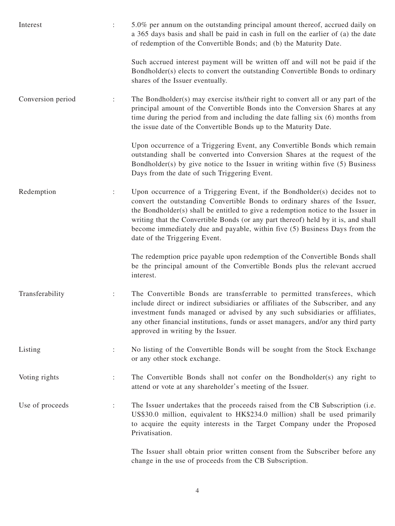| Interest          |                | 5.0% per annum on the outstanding principal amount thereof, accrued daily on<br>a 365 days basis and shall be paid in cash in full on the earlier of (a) the date<br>of redemption of the Convertible Bonds; and (b) the Maturity Date.                                                                                                                                                                                                           |
|-------------------|----------------|---------------------------------------------------------------------------------------------------------------------------------------------------------------------------------------------------------------------------------------------------------------------------------------------------------------------------------------------------------------------------------------------------------------------------------------------------|
|                   |                | Such accrued interest payment will be written off and will not be paid if the<br>Bondholder(s) elects to convert the outstanding Convertible Bonds to ordinary<br>shares of the Issuer eventually.                                                                                                                                                                                                                                                |
| Conversion period |                | The Bondholder(s) may exercise its/their right to convert all or any part of the<br>principal amount of the Convertible Bonds into the Conversion Shares at any<br>time during the period from and including the date falling six (6) months from<br>the issue date of the Convertible Bonds up to the Maturity Date.                                                                                                                             |
|                   |                | Upon occurrence of a Triggering Event, any Convertible Bonds which remain<br>outstanding shall be converted into Conversion Shares at the request of the<br>Bondholder(s) by give notice to the Issuer in writing within five (5) Business<br>Days from the date of such Triggering Event.                                                                                                                                                        |
| Redemption        |                | Upon occurrence of a Triggering Event, if the Bondholder(s) decides not to<br>convert the outstanding Convertible Bonds to ordinary shares of the Issuer,<br>the Bondholder(s) shall be entitled to give a redemption notice to the Issuer in<br>writing that the Convertible Bonds (or any part thereof) held by it is, and shall<br>become immediately due and payable, within five (5) Business Days from the<br>date of the Triggering Event. |
|                   |                | The redemption price payable upon redemption of the Convertible Bonds shall<br>be the principal amount of the Convertible Bonds plus the relevant accrued<br>interest.                                                                                                                                                                                                                                                                            |
| Transferability   |                | The Convertible Bonds are transferrable to permitted transferees, which<br>include direct or indirect subsidiaries or affiliates of the Subscriber, and any<br>investment funds managed or advised by any such subsidiaries or affiliates,<br>any other financial institutions, funds or asset managers, and/or any third party<br>approved in writing by the Issuer.                                                                             |
| Listing           | $\ddot{\cdot}$ | No listing of the Convertible Bonds will be sought from the Stock Exchange<br>or any other stock exchange.                                                                                                                                                                                                                                                                                                                                        |
| Voting rights     | $\ddot{\cdot}$ | The Convertible Bonds shall not confer on the Bondholder(s) any right to<br>attend or vote at any shareholder's meeting of the Issuer.                                                                                                                                                                                                                                                                                                            |
| Use of proceeds   | $\ddot{\cdot}$ | The Issuer undertakes that the proceeds raised from the CB Subscription (i.e.<br>US\$30.0 million, equivalent to HK\$234.0 million) shall be used primarily<br>to acquire the equity interests in the Target Company under the Proposed<br>Privatisation.                                                                                                                                                                                         |
|                   |                | The Issuer shall obtain prior written consent from the Subscriber before any                                                                                                                                                                                                                                                                                                                                                                      |

change in the use of proceeds from the CB Subscription.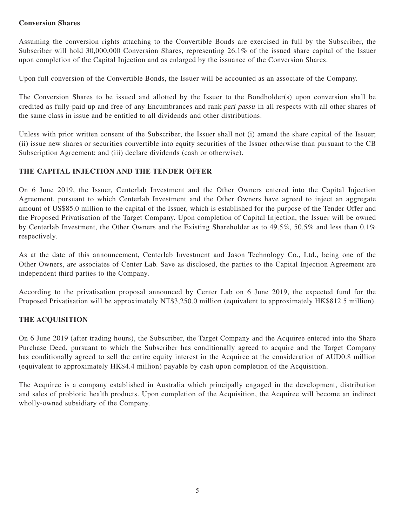## **Conversion Shares**

Assuming the conversion rights attaching to the Convertible Bonds are exercised in full by the Subscriber, the Subscriber will hold 30,000,000 Conversion Shares, representing 26.1% of the issued share capital of the Issuer upon completion of the Capital Injection and as enlarged by the issuance of the Conversion Shares.

Upon full conversion of the Convertible Bonds, the Issuer will be accounted as an associate of the Company.

The Conversion Shares to be issued and allotted by the Issuer to the Bondholder(s) upon conversion shall be credited as fully-paid up and free of any Encumbrances and rank pari passu in all respects with all other shares of the same class in issue and be entitled to all dividends and other distributions.

Unless with prior written consent of the Subscriber, the Issuer shall not (i) amend the share capital of the Issuer; (ii) issue new shares or securities convertible into equity securities of the Issuer otherwise than pursuant to the CB Subscription Agreement; and (iii) declare dividends (cash or otherwise).

## **THE CAPITAL INJECTION AND THE TENDER OFFER**

On 6 June 2019, the Issuer, Centerlab Investment and the Other Owners entered into the Capital Injection Agreement, pursuant to which Centerlab Investment and the Other Owners have agreed to inject an aggregate amount of US\$85.0 million to the capital of the Issuer, which is established for the purpose of the Tender Offer and the Proposed Privatisation of the Target Company. Upon completion of Capital Injection, the Issuer will be owned by Centerlab Investment, the Other Owners and the Existing Shareholder as to 49.5%, 50.5% and less than 0.1% respectively.

As at the date of this announcement, Centerlab Investment and Jason Technology Co., Ltd., being one of the Other Owners, are associates of Center Lab. Save as disclosed, the parties to the Capital Injection Agreement are independent third parties to the Company.

According to the privatisation proposal announced by Center Lab on 6 June 2019, the expected fund for the Proposed Privatisation will be approximately NT\$3,250.0 million (equivalent to approximately HK\$812.5 million).

## **THE ACQUISITION**

On 6 June 2019 (after trading hours), the Subscriber, the Target Company and the Acquiree entered into the Share Purchase Deed, pursuant to which the Subscriber has conditionally agreed to acquire and the Target Company has conditionally agreed to sell the entire equity interest in the Acquiree at the consideration of AUD0.8 million (equivalent to approximately HK\$4.4 million) payable by cash upon completion of the Acquisition.

The Acquiree is a company established in Australia which principally engaged in the development, distribution and sales of probiotic health products. Upon completion of the Acquisition, the Acquiree will become an indirect wholly-owned subsidiary of the Company.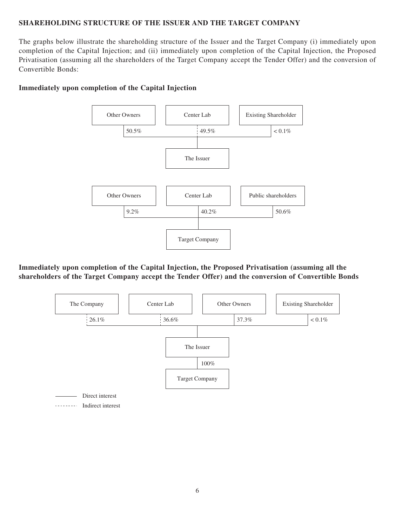## **SHAREHOLDING STRUCTURE OF THE ISSUER AND THE TARGET COMPANY**

The graphs below illustrate the shareholding structure of the Issuer and the Target Company (i) immediately upon completion of the Capital Injection; and (ii) immediately upon completion of the Capital Injection, the Proposed Privatisation (assuming all the shareholders of the Target Company accept the Tender Offer) and the conversion of Convertible Bonds:



#### **Immediately upon completion of the Capital Injection**



**Immediately upon completion of the Capital Injection, the Proposed Privatisation (assuming all the shareholders of the Target Company accept the Tender Offer) and the conversion of Convertible Bonds**

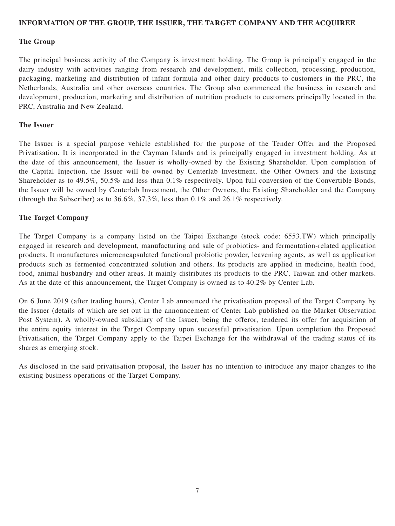#### **INFORMATION OF THE GROUP, THE ISSUER, THE TARGET COMPANY AND THE ACQUIREE**

#### **The Group**

The principal business activity of the Company is investment holding. The Group is principally engaged in the dairy industry with activities ranging from research and development, milk collection, processing, production, packaging, marketing and distribution of infant formula and other dairy products to customers in the PRC, the Netherlands, Australia and other overseas countries. The Group also commenced the business in research and development, production, marketing and distribution of nutrition products to customers principally located in the PRC, Australia and New Zealand.

#### **The Issuer**

The Issuer is a special purpose vehicle established for the purpose of the Tender Offer and the Proposed Privatisation. It is incorporated in the Cayman Islands and is principally engaged in investment holding. As at the date of this announcement, the Issuer is wholly-owned by the Existing Shareholder. Upon completion of the Capital Injection, the Issuer will be owned by Centerlab Investment, the Other Owners and the Existing Shareholder as to 49.5%, 50.5% and less than 0.1% respectively. Upon full conversion of the Convertible Bonds, the Issuer will be owned by Centerlab Investment, the Other Owners, the Existing Shareholder and the Company (through the Subscriber) as to 36.6%, 37.3%, less than 0.1% and 26.1% respectively.

#### **The Target Company**

The Target Company is a company listed on the Taipei Exchange (stock code: 6553.TW) which principally engaged in research and development, manufacturing and sale of probiotics- and fermentation-related application products. It manufactures microencapsulated functional probiotic powder, leavening agents, as well as application products such as fermented concentrated solution and others. Its products are applied in medicine, health food, food, animal husbandry and other areas. It mainly distributes its products to the PRC, Taiwan and other markets. As at the date of this announcement, the Target Company is owned as to 40.2% by Center Lab.

On 6 June 2019 (after trading hours), Center Lab announced the privatisation proposal of the Target Company by the Issuer (details of which are set out in the announcement of Center Lab published on the Market Observation Post System). A wholly-owned subsidiary of the Issuer, being the offeror, tendered its offer for acquisition of the entire equity interest in the Target Company upon successful privatisation. Upon completion the Proposed Privatisation, the Target Company apply to the Taipei Exchange for the withdrawal of the trading status of its shares as emerging stock.

As disclosed in the said privatisation proposal, the Issuer has no intention to introduce any major changes to the existing business operations of the Target Company.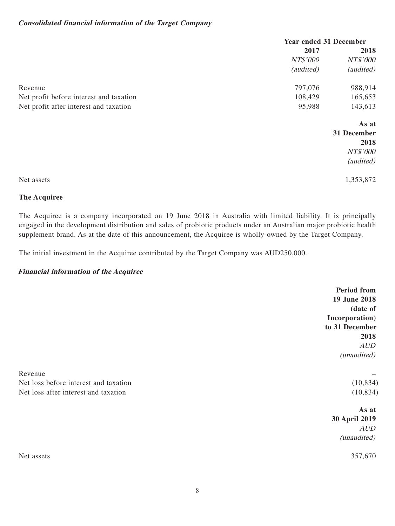#### **Consolidated financial information of the Target Company**

|                                         | <b>Year ended 31 December</b> |             |
|-----------------------------------------|-------------------------------|-------------|
|                                         | 2017                          | 2018        |
|                                         | NT\$'000                      | NT\$'000    |
|                                         | (audited)                     | (audited)   |
| Revenue                                 | 797,076                       | 988,914     |
| Net profit before interest and taxation | 108,429                       | 165,653     |
| Net profit after interest and taxation  | 95,988                        | 143,613     |
|                                         |                               | As at       |
|                                         |                               | 31 December |
|                                         |                               | 2018        |
|                                         |                               | NT\$'000    |
|                                         |                               | (audited)   |
| Net assets                              |                               | 1,353,872   |

## **The Acquiree**

The Acquiree is a company incorporated on 19 June 2018 in Australia with limited liability. It is principally engaged in the development distribution and sales of probiotic products under an Australian major probiotic health supplement brand. As at the date of this announcement, the Acquiree is wholly-owned by the Target Company.

**Period from** 

The initial investment in the Acquiree contributed by the Target Company was AUD250,000.

#### **Financial information of the Acquiree**

|                                       | <b>TELIOU ILOIN</b> |
|---------------------------------------|---------------------|
|                                       | 19 June 2018        |
|                                       | (date of            |
|                                       | Incorporation)      |
|                                       | to 31 December      |
|                                       | 2018                |
|                                       | AUD                 |
|                                       | (unaudited)         |
| Revenue                               |                     |
| Net loss before interest and taxation | (10, 834)           |
| Net loss after interest and taxation  | (10, 834)           |
|                                       | As at               |
|                                       | 30 April 2019       |
|                                       | AUD                 |
|                                       | (unaudited)         |
| Net assets                            | 357,670             |
|                                       |                     |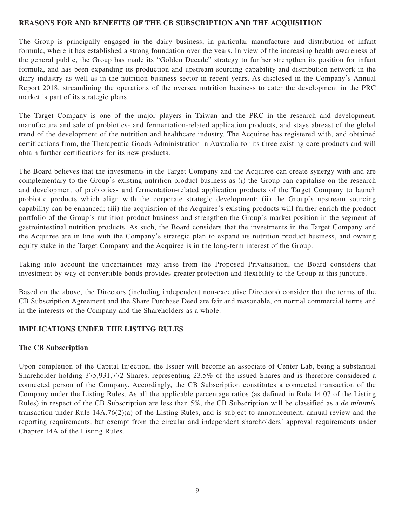#### **REASONS FOR AND BENEFITS OF THE CB SUBSCRIPTION AND THE ACQUISITION**

The Group is principally engaged in the dairy business, in particular manufacture and distribution of infant formula, where it has established a strong foundation over the years. In view of the increasing health awareness of the general public, the Group has made its "Golden Decade" strategy to further strengthen its position for infant formula, and has been expanding its production and upstream sourcing capability and distribution network in the dairy industry as well as in the nutrition business sector in recent years. As disclosed in the Company's Annual Report 2018, streamlining the operations of the oversea nutrition business to cater the development in the PRC market is part of its strategic plans.

The Target Company is one of the major players in Taiwan and the PRC in the research and development, manufacture and sale of probiotics- and fermentation-related application products, and stays abreast of the global trend of the development of the nutrition and healthcare industry. The Acquiree has registered with, and obtained certifications from, the Therapeutic Goods Administration in Australia for its three existing core products and will obtain further certifications for its new products.

The Board believes that the investments in the Target Company and the Acquiree can create synergy with and are complementary to the Group's existing nutrition product business as (i) the Group can capitalise on the research and development of probiotics- and fermentation-related application products of the Target Company to launch probiotic products which align with the corporate strategic development; (ii) the Group's upstream sourcing capability can be enhanced; (iii) the acquisition of the Acquiree's existing products will further enrich the product portfolio of the Group's nutrition product business and strengthen the Group's market position in the segment of gastrointestinal nutrition products. As such, the Board considers that the investments in the Target Company and the Acquiree are in line with the Company's strategic plan to expand its nutrition product business, and owning equity stake in the Target Company and the Acquiree is in the long-term interest of the Group.

Taking into account the uncertainties may arise from the Proposed Privatisation, the Board considers that investment by way of convertible bonds provides greater protection and flexibility to the Group at this juncture.

Based on the above, the Directors (including independent non-executive Directors) consider that the terms of the CB Subscription Agreement and the Share Purchase Deed are fair and reasonable, on normal commercial terms and in the interests of the Company and the Shareholders as a whole.

#### **IMPLICATIONS UNDER THE LISTING RULES**

#### **The CB Subscription**

Upon completion of the Capital Injection, the Issuer will become an associate of Center Lab, being a substantial Shareholder holding 375,931,772 Shares, representing 23.5% of the issued Shares and is therefore considered a connected person of the Company. Accordingly, the CB Subscription constitutes a connected transaction of the Company under the Listing Rules. As all the applicable percentage ratios (as defined in Rule 14.07 of the Listing Rules) in respect of the CB Subscription are less than  $5\%$ , the CB Subscription will be classified as a *de minimis* transaction under Rule 14A.76(2)(a) of the Listing Rules, and is subject to announcement, annual review and the reporting requirements, but exempt from the circular and independent shareholders' approval requirements under Chapter 14A of the Listing Rules.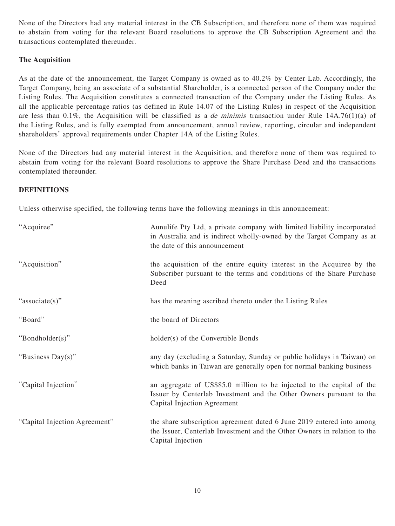None of the Directors had any material interest in the CB Subscription, and therefore none of them was required to abstain from voting for the relevant Board resolutions to approve the CB Subscription Agreement and the transactions contemplated thereunder.

## **The Acquisition**

As at the date of the announcement, the Target Company is owned as to 40.2% by Center Lab. Accordingly, the Target Company, being an associate of a substantial Shareholder, is a connected person of the Company under the Listing Rules. The Acquisition constitutes a connected transaction of the Company under the Listing Rules. As all the applicable percentage ratios (as defined in Rule 14.07 of the Listing Rules) in respect of the Acquisition are less than 0.1%, the Acquisition will be classified as a de minimis transaction under Rule 14A.76(1)(a) of the Listing Rules, and is fully exempted from announcement, annual review, reporting, circular and independent shareholders' approval requirements under Chapter 14A of the Listing Rules.

None of the Directors had any material interest in the Acquisition, and therefore none of them was required to abstain from voting for the relevant Board resolutions to approve the Share Purchase Deed and the transactions contemplated thereunder.

## **DEFINITIONS**

Unless otherwise specified, the following terms have the following meanings in this announcement:

| "Acquiree"                    | Aunulife Pty Ltd, a private company with limited liability incorporated<br>in Australia and is indirect wholly-owned by the Target Company as at<br>the date of this announcement |
|-------------------------------|-----------------------------------------------------------------------------------------------------------------------------------------------------------------------------------|
| "Acquisition"                 | the acquisition of the entire equity interest in the Acquiree by the<br>Subscriber pursuant to the terms and conditions of the Share Purchase<br>Deed                             |
| "associate(s)"                | has the meaning ascribed thereto under the Listing Rules                                                                                                                          |
| "Board"                       | the board of Directors                                                                                                                                                            |
| "Bondholder(s)"               | holder(s) of the Convertible Bonds                                                                                                                                                |
| "Business Day(s)"             | any day (excluding a Saturday, Sunday or public holidays in Taiwan) on<br>which banks in Taiwan are generally open for normal banking business                                    |
| "Capital Injection"           | an aggregate of US\$85.0 million to be injected to the capital of the<br>Issuer by Centerlab Investment and the Other Owners pursuant to the<br>Capital Injection Agreement       |
| "Capital Injection Agreement" | the share subscription agreement dated 6 June 2019 entered into among<br>the Issuer, Centerlab Investment and the Other Owners in relation to the<br>Capital Injection            |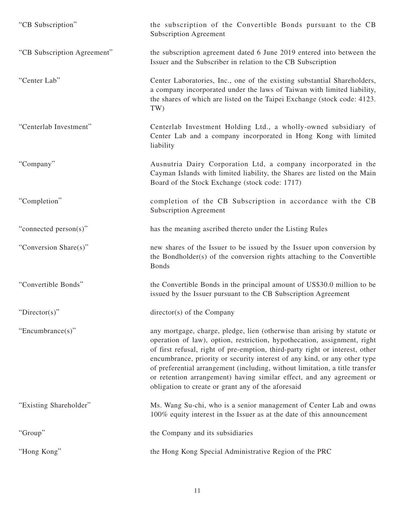| "CB Subscription"           | the subscription of the Convertible Bonds pursuant to the CB<br><b>Subscription Agreement</b>                                                                                                                                                                                                                                                                                                                                                                                                                                    |
|-----------------------------|----------------------------------------------------------------------------------------------------------------------------------------------------------------------------------------------------------------------------------------------------------------------------------------------------------------------------------------------------------------------------------------------------------------------------------------------------------------------------------------------------------------------------------|
| "CB Subscription Agreement" | the subscription agreement dated 6 June 2019 entered into between the<br>Issuer and the Subscriber in relation to the CB Subscription                                                                                                                                                                                                                                                                                                                                                                                            |
| "Center Lab"                | Center Laboratories, Inc., one of the existing substantial Shareholders,<br>a company incorporated under the laws of Taiwan with limited liability,<br>the shares of which are listed on the Taipei Exchange (stock code: 4123.<br>TW)                                                                                                                                                                                                                                                                                           |
| "Centerlab Investment"      | Centerlab Investment Holding Ltd., a wholly-owned subsidiary of<br>Center Lab and a company incorporated in Hong Kong with limited<br>liability                                                                                                                                                                                                                                                                                                                                                                                  |
| "Company"                   | Ausnutria Dairy Corporation Ltd, a company incorporated in the<br>Cayman Islands with limited liability, the Shares are listed on the Main<br>Board of the Stock Exchange (stock code: 1717)                                                                                                                                                                                                                                                                                                                                     |
| "Completion"                | completion of the CB Subscription in accordance with the CB<br><b>Subscription Agreement</b>                                                                                                                                                                                                                                                                                                                                                                                                                                     |
| "connected person(s)"       | has the meaning ascribed thereto under the Listing Rules                                                                                                                                                                                                                                                                                                                                                                                                                                                                         |
| "Conversion Share(s)"       | new shares of the Issuer to be issued by the Issuer upon conversion by<br>the Bondholder(s) of the conversion rights attaching to the Convertible<br><b>Bonds</b>                                                                                                                                                                                                                                                                                                                                                                |
| "Convertible Bonds"         | the Convertible Bonds in the principal amount of US\$30.0 million to be<br>issued by the Issuer pursuant to the CB Subscription Agreement                                                                                                                                                                                                                                                                                                                                                                                        |
| "Director(s)"               | $directory(s)$ of the Company                                                                                                                                                                                                                                                                                                                                                                                                                                                                                                    |
| "Encumbrance(s)"            | any mortgage, charge, pledge, lien (otherwise than arising by statute or<br>operation of law), option, restriction, hypothecation, assignment, right<br>of first refusal, right of pre-emption, third-party right or interest, other<br>encumbrance, priority or security interest of any kind, or any other type<br>of preferential arrangement (including, without limitation, a title transfer<br>or retention arrangement) having similar effect, and any agreement or<br>obligation to create or grant any of the aforesaid |
| "Existing Shareholder"      | Ms. Wang Su-chi, who is a senior management of Center Lab and owns<br>100% equity interest in the Issuer as at the date of this announcement                                                                                                                                                                                                                                                                                                                                                                                     |
| "Group"                     | the Company and its subsidiaries                                                                                                                                                                                                                                                                                                                                                                                                                                                                                                 |
| "Hong Kong"                 | the Hong Kong Special Administrative Region of the PRC                                                                                                                                                                                                                                                                                                                                                                                                                                                                           |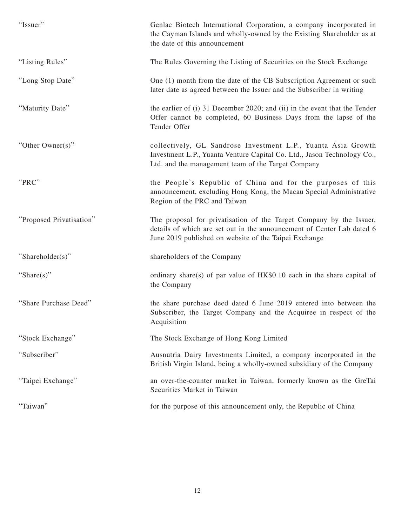| "Issuer"                 | Genlac Biotech International Corporation, a company incorporated in<br>the Cayman Islands and wholly-owned by the Existing Shareholder as at<br>the date of this announcement                          |
|--------------------------|--------------------------------------------------------------------------------------------------------------------------------------------------------------------------------------------------------|
| "Listing Rules"          | The Rules Governing the Listing of Securities on the Stock Exchange                                                                                                                                    |
| "Long Stop Date"         | One (1) month from the date of the CB Subscription Agreement or such<br>later date as agreed between the Issuer and the Subscriber in writing                                                          |
| "Maturity Date"          | the earlier of (i) 31 December 2020; and (ii) in the event that the Tender<br>Offer cannot be completed, 60 Business Days from the lapse of the<br>Tender Offer                                        |
| "Other Owner(s)"         | collectively, GL Sandrose Investment L.P., Yuanta Asia Growth<br>Investment L.P., Yuanta Venture Capital Co. Ltd., Jason Technology Co.,<br>Ltd. and the management team of the Target Company         |
| "PRC"                    | the People's Republic of China and for the purposes of this<br>announcement, excluding Hong Kong, the Macau Special Administrative<br>Region of the PRC and Taiwan                                     |
| "Proposed Privatisation" | The proposal for privatisation of the Target Company by the Issuer,<br>details of which are set out in the announcement of Center Lab dated 6<br>June 2019 published on website of the Taipei Exchange |
| "Shareholder(s)"         | shareholders of the Company                                                                                                                                                                            |
| "Share $(s)$ "           | ordinary share(s) of par value of HK\$0.10 each in the share capital of<br>the Company                                                                                                                 |
| "Share Purchase Deed"    | the share purchase deed dated 6 June 2019 entered into between the<br>Subscriber, the Target Company and the Acquiree in respect of the<br>Acquisition                                                 |
| "Stock Exchange"         | The Stock Exchange of Hong Kong Limited                                                                                                                                                                |
| "Subscriber"             | Ausnutria Dairy Investments Limited, a company incorporated in the<br>British Virgin Island, being a wholly-owned subsidiary of the Company                                                            |
| "Taipei Exchange"        | an over-the-counter market in Taiwan, formerly known as the GreTai<br>Securities Market in Taiwan                                                                                                      |
| "Taiwan"                 | for the purpose of this announcement only, the Republic of China                                                                                                                                       |